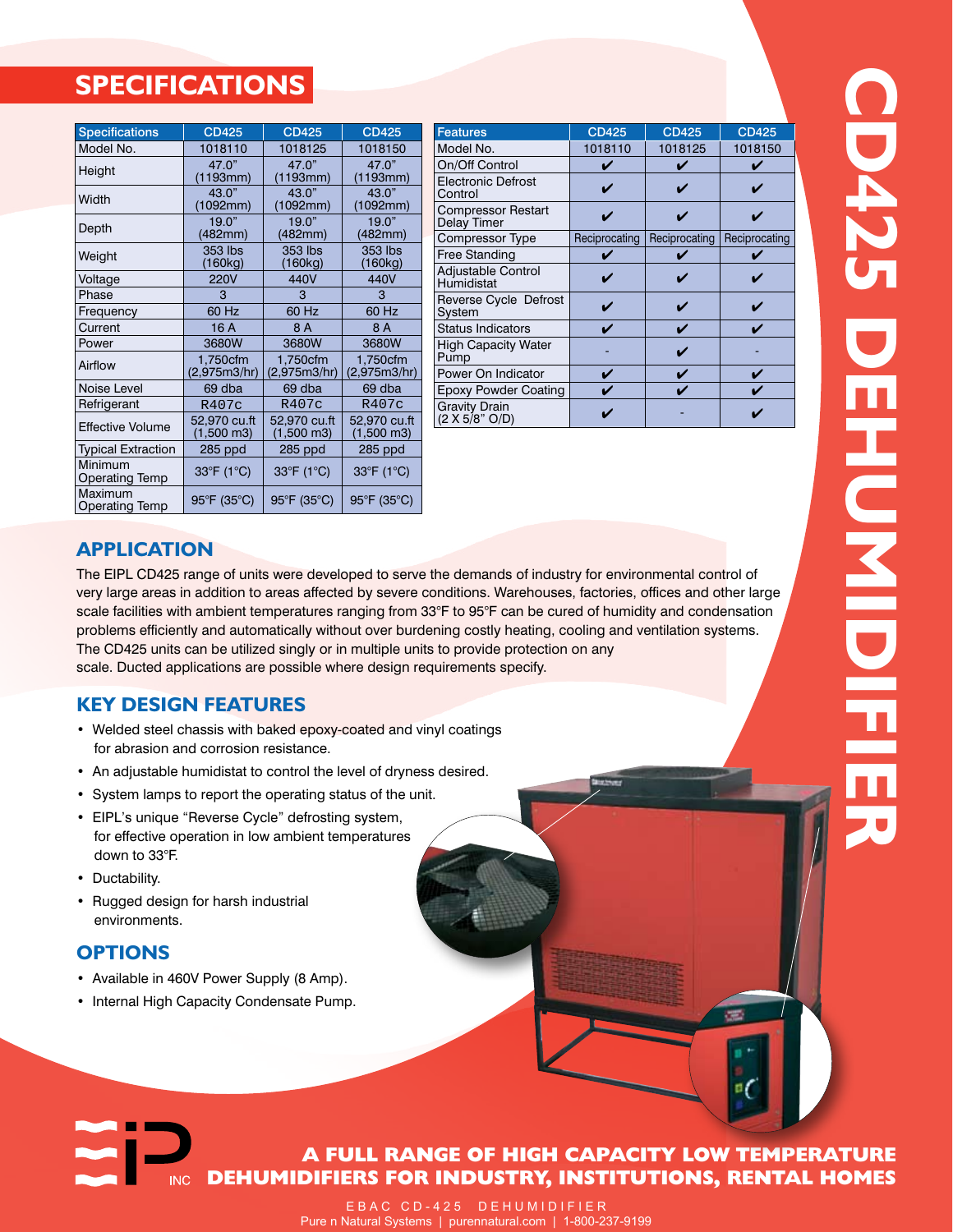# **SPECIFICATIONS**

| <b>Specifications</b>            | <b>CD425</b>                         | <b>CD425</b>                         | <b>CD425</b>                         |
|----------------------------------|--------------------------------------|--------------------------------------|--------------------------------------|
| Model No.                        | 1018110                              | 1018125                              | 1018150                              |
| Height                           | 47.0"<br>(1193mm)                    | 47.0"<br>(1193mm)                    | 47.0"<br>(1193mm)                    |
| Width                            | 43.0"<br>(1092mm)                    | 43.0"<br>(1092mm)                    | 43.0"<br>(1092mm)                    |
| Depth                            | 19.0"<br>(482mm)                     | 19.0"<br>(482mm)                     | 19.0"<br>(482mm)                     |
| Weight                           | 353 lbs<br>(160kg)                   | 353 lbs<br>(160kg)                   | 353 lbs<br>(160kg)                   |
| Voltage                          | <b>220V</b>                          | 440V                                 | 440V                                 |
| Phase                            | 3                                    | 3                                    | 3                                    |
| Frequency                        | 60 Hz                                | 60 Hz                                | 60 Hz                                |
| Current                          | 16 A                                 | 8 A                                  | 8 A                                  |
| Power                            | 3680W                                | 3680W                                | 3680W                                |
| Airflow                          | 1,750cfm<br>(2,975m3/hr)             | 1,750cfm<br>(2,975m3/hr)             | 1,750cfm<br>(2,975m3/hr)             |
| Noise Level                      | 69 dba                               | 69 dba                               | 69 dba                               |
| Refrigerant                      | R407c                                | R407c                                | R407c                                |
| <b>Effective Volume</b>          | 52,970 cu.ft<br>$(1,500 \text{ m}3)$ | 52,970 cu.ft<br>$(1,500 \text{ m}3)$ | 52,970 cu.ft<br>$(1,500 \text{ m}3)$ |
| <b>Typical Extraction</b>        | 285 ppd                              | 285 ppd                              | 285 ppd                              |
| Minimum<br><b>Operating Temp</b> | 33°F (1°C)                           | 33°F (1°C)                           | 33°F (1°C)                           |
| Maximum<br><b>Operating Temp</b> | 95°F (35°C)                          | 95°F (35°C)                          | 95°F (35°C)                          |

| <b>Features</b>                          | <b>CD425</b>  | <b>CD425</b>  | <b>CD425</b>  |
|------------------------------------------|---------------|---------------|---------------|
| Model No.                                | 1018110       | 1018125       | 1018150       |
| On/Off Control                           |               |               |               |
| <b>Electronic Defrost</b><br>Control     |               |               |               |
| <b>Compressor Restart</b><br>Delay Timer |               |               |               |
| Compressor Type                          | Reciprocating | Reciprocating | Reciprocating |
| <b>Free Standing</b>                     |               |               |               |
| Adjustable Control<br>Humidistat         |               |               |               |
| Reverse Cycle Defrost<br>System          |               |               |               |
| <b>Status Indicators</b>                 |               |               |               |
| <b>High Capacity Water</b><br>Pump       |               |               |               |
| Power On Indicator                       |               |               |               |
| <b>Epoxy Powder Coating</b>              |               |               |               |
| Gravity Drain<br>(2 X 5/8" O/D)          |               |               |               |

## **Application**

The EIPL CD425 range of units were developed to serve the demands of industry for environmental control of very large areas in addition to areas affected by severe conditions. Warehouses, factories, offices and other large scale facilities with ambient temperatures ranging from 33°F to 95°F can be cured of humidity and condensation problems efficiently and automatically without over burdening costly heating, cooling and ventilation systems. The CD425 units can be utilized singly or in multiple units to provide protection on any scale. Ducted applications are possible where design requirements specify.

## **Key Design Features**

- Welded steel chassis with baked epoxy-coated and vinyl coatings for abrasion and corrosion resistance.
- An adjustable humidistat to control the level of dryness desired.
- System lamps to report the operating status of the unit.
- EIPL's unique "Reverse Cycle" defrosting system, for effective operation in low ambient temperatures down to 33°F.
- Ductability.
- Rugged design for harsh industrial environments.

**INC** 

#### **Options**

- Available in 460V Power Supply (8 Amp).
- Internal High Capacity Condensate Pump.

## **A FULL RANGE OF HIGH CAPACITY LOW TEMPERATURE DEHUMIDIFIERS FOR INDUSTRY, INSTITUTIONS, RENTAL HOMES**

E B A C C D - 4 2 5 D E H U M I D I F I E R Pure n Natural Systems | purennatural.com | 1-800-237-9199